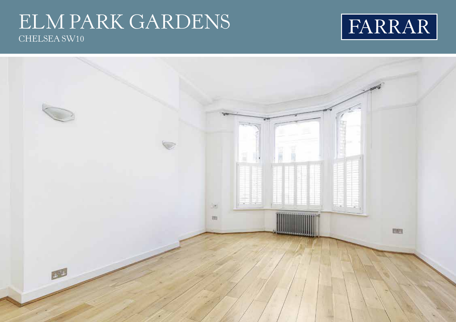## ELM PARK GARDENS CHELSEA SW10